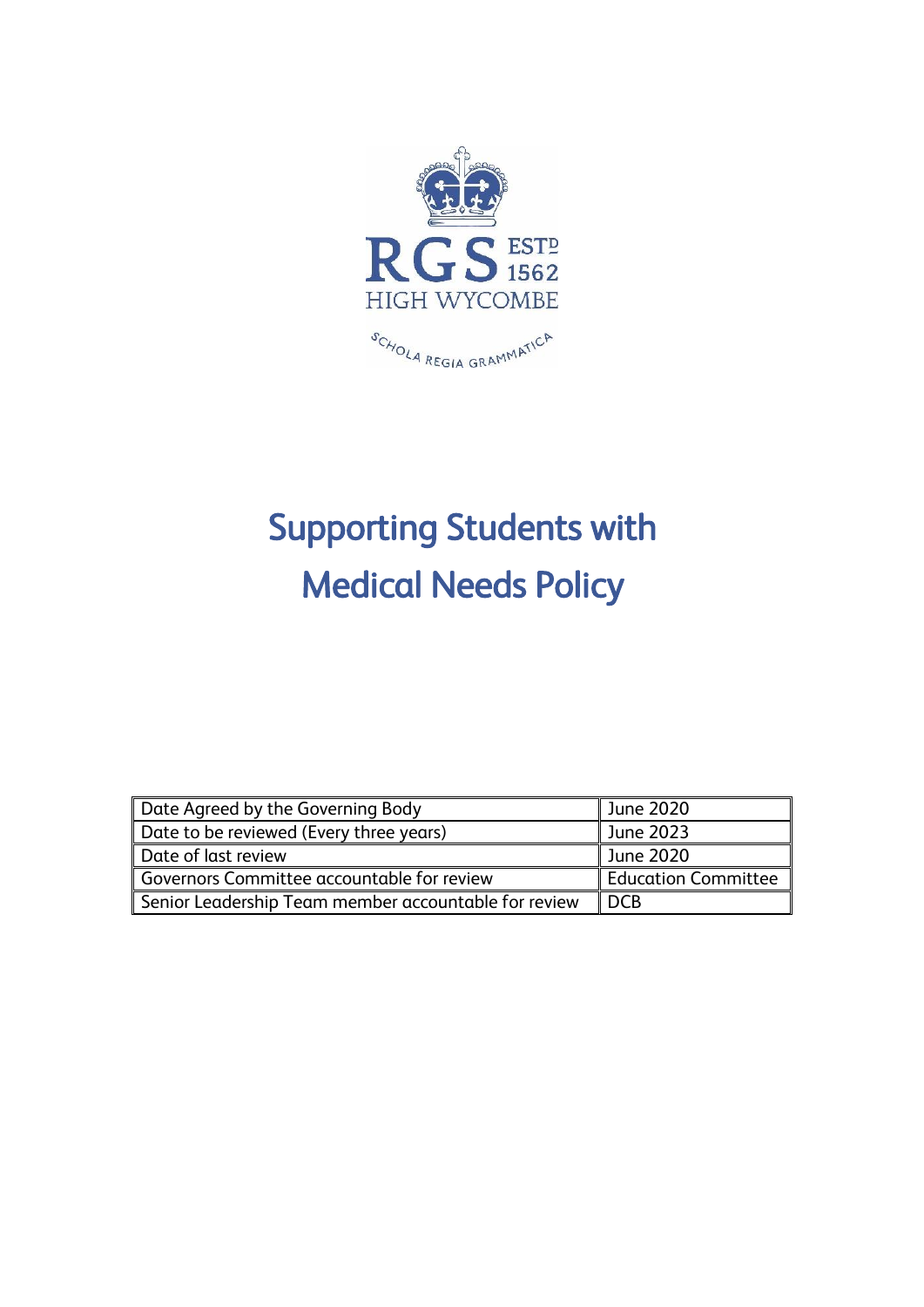

## Supporting Students with Medical Needs Policy

| Date Agreed by the Governing Body                    | June 2020           |
|------------------------------------------------------|---------------------|
| Date to be reviewed (Every three years)              | June 2023           |
| Date of last review                                  | June 2020           |
| Governors Committee accountable for review           | Education Committee |
| Senior Leadership Team member accountable for review | l DCB               |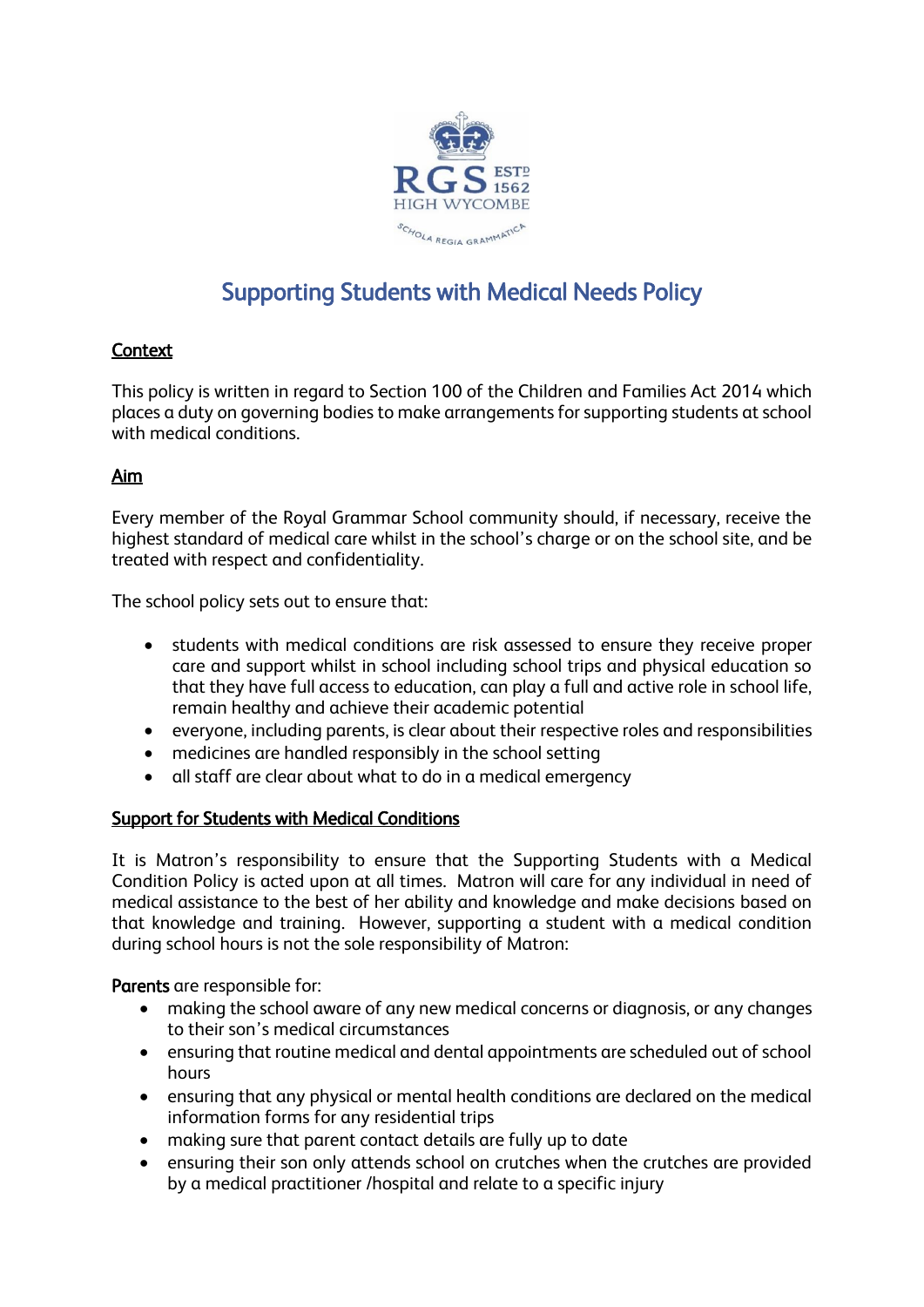

## Supporting Students with Medical Needs Policy

## **Context**

This policy is written in regard to Section 100 of the Children and Families Act 2014 which places a duty on governing bodies to make arrangements for supporting students at school with medical conditions.

## Aim

Every member of the Royal Grammar School community should, if necessary, receive the highest standard of medical care whilst in the school's charge or on the school site, and be treated with respect and confidentiality.

The school policy sets out to ensure that:

- students with medical conditions are risk assessed to ensure they receive proper care and support whilst in school including school trips and physical education so that they have full access to education, can play a full and active role in school life, remain healthy and achieve their academic potential
- everyone, including parents, is clear about their respective roles and responsibilities
- medicines are handled responsibly in the school setting
- all staff are clear about what to do in a medical emergency

## Support for Students with Medical Conditions

It is Matron's responsibility to ensure that the Supporting Students with a Medical Condition Policy is acted upon at all times. Matron will care for any individual in need of medical assistance to the best of her ability and knowledge and make decisions based on that knowledge and training. However, supporting a student with a medical condition during school hours is not the sole responsibility of Matron:

Parents are responsible for:

- making the school aware of any new medical concerns or diagnosis, or any changes to their son's medical circumstances
- ensuring that routine medical and dental appointments are scheduled out of school hours
- ensuring that any physical or mental health conditions are declared on the medical information forms for any residential trips
- making sure that parent contact details are fully up to date
- ensuring their son only attends school on crutches when the crutches are provided by a medical practitioner /hospital and relate to a specific injury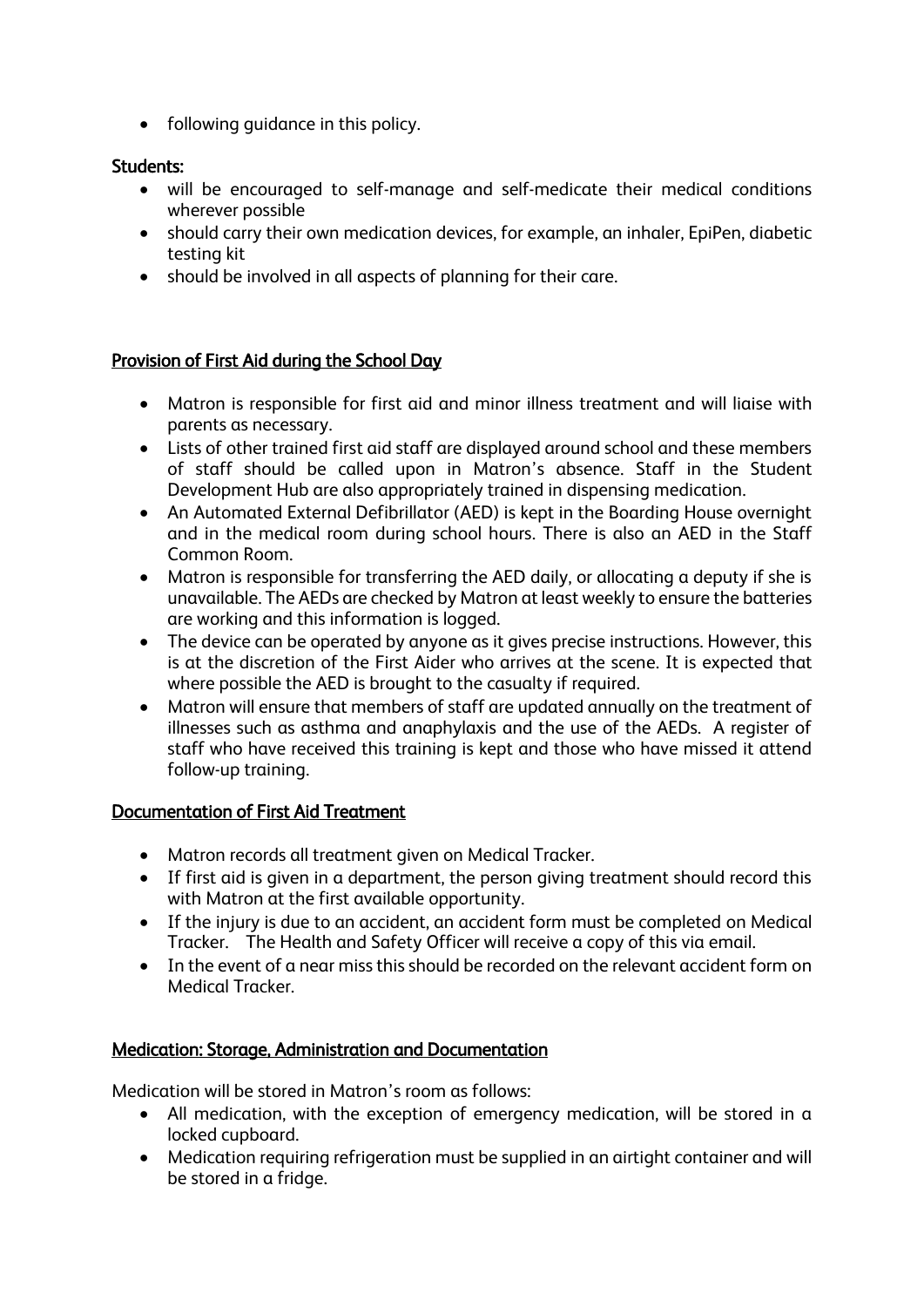• following quidance in this policy.

## Students:

- will be encouraged to self-manage and self-medicate their medical conditions wherever possible
- should carry their own medication devices, for example, an inhaler, EpiPen, diabetic testing kit
- should be involved in all aspects of planning for their care.

## Provision of First Aid during the School Day

- Matron is responsible for first aid and minor illness treatment and will liaise with parents as necessary.
- Lists of other trained first aid staff are displayed around school and these members of staff should be called upon in Matron's absence. Staff in the Student Development Hub are also appropriately trained in dispensing medication.
- An Automated External Defibrillator (AED) is kept in the Boarding House overnight and in the medical room during school hours. There is also an AED in the Staff Common Room.
- Matron is responsible for transferring the AED daily, or allocating a deputy if she is unavailable. The AEDs are checked by Matron at least weekly to ensure the batteries are working and this information is logged.
- The device can be operated by anyone as it gives precise instructions. However, this is at the discretion of the First Aider who arrives at the scene. It is expected that where possible the AED is brought to the casualty if required.
- Matron will ensure that members of staff are updated annually on the treatment of illnesses such as asthma and anaphylaxis and the use of the AEDs. A register of staff who have received this training is kept and those who have missed it attend follow-up training.

## Documentation of First Aid Treatment

- Matron records all treatment given on Medical Tracker.
- If first aid is given in a department, the person giving treatment should record this with Matron at the first available opportunity.
- If the injury is due to an accident, an accident form must be completed on Medical Tracker. The Health and Safety Officer will receive a copy of this via email.
- In the event of a near miss this should be recorded on the relevant accident form on Medical Tracker.

## Medication: Storage, Administration and Documentation

Medication will be stored in Matron's room as follows:

- All medication, with the exception of emergency medication, will be stored in a locked cupboard.
- Medication requiring refrigeration must be supplied in an airtight container and will be stored in a fridge.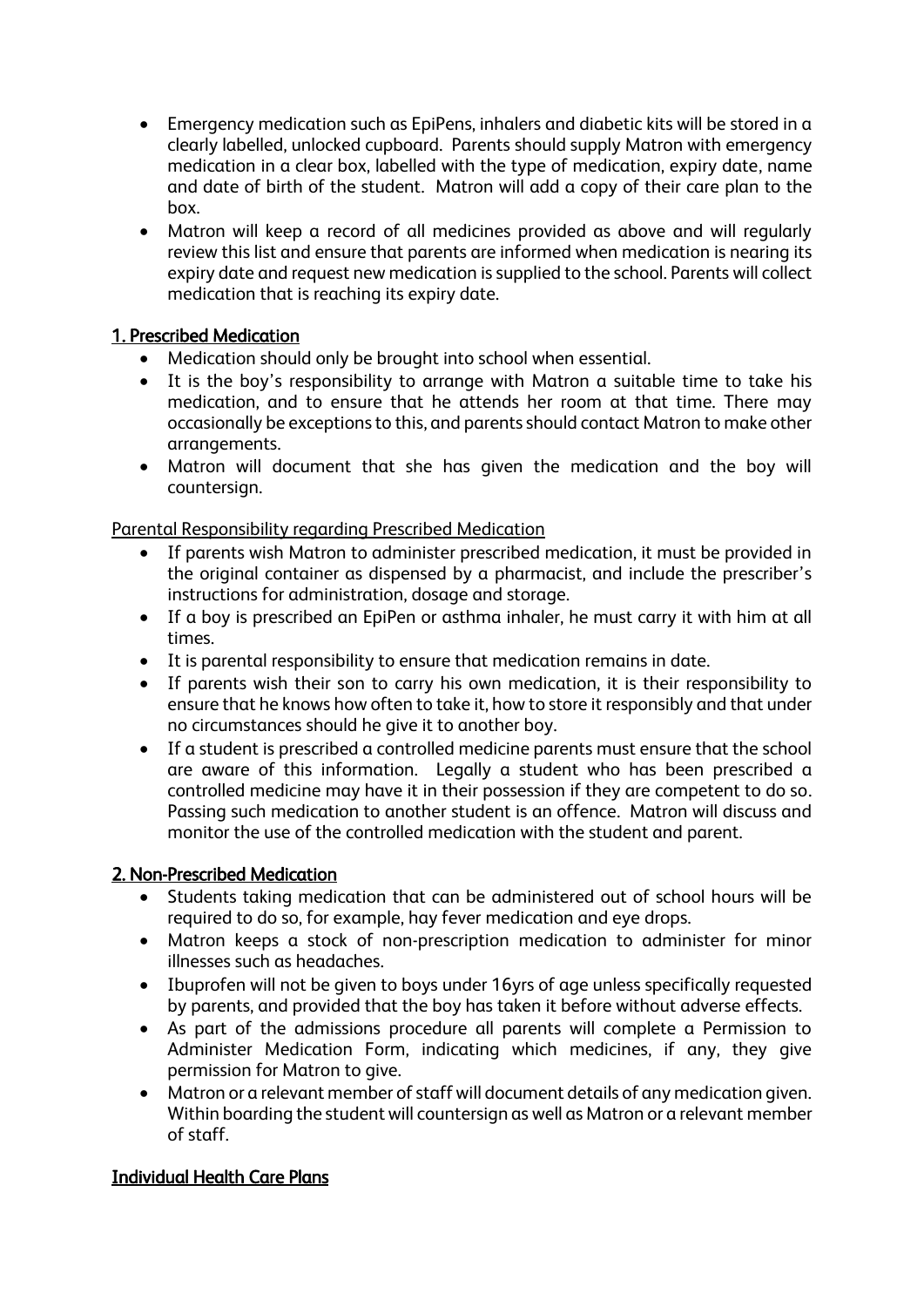- Emergency medication such as EpiPens, inhalers and diabetic kits will be stored in a clearly labelled, unlocked cupboard. Parents should supply Matron with emergency medication in a clear box, labelled with the type of medication, expiry date, name and date of birth of the student. Matron will add a copy of their care plan to the box.
- Matron will keep a record of all medicines provided as above and will regularly review this list and ensure that parents are informed when medication is nearing its expiry date and request new medication is supplied to the school. Parents will collect medication that is reaching its expiry date.

## 1. Prescribed Medication

- Medication should only be brought into school when essential.
- It is the boy's responsibility to arrange with Matron a suitable time to take his medication, and to ensure that he attends her room at that time. There may occasionally be exceptions to this, and parents should contact Matron to make other arrangements.
- Matron will document that she has given the medication and the boy will countersign.

## Parental Responsibility regarding Prescribed Medication

- If parents wish Matron to administer prescribed medication, it must be provided in the original container as dispensed by a pharmacist, and include the prescriber's instructions for administration, dosage and storage.
- If a boy is prescribed an EpiPen or asthma inhaler, he must carry it with him at all times.
- It is parental responsibility to ensure that medication remains in date.
- If parents wish their son to carry his own medication, it is their responsibility to ensure that he knows how often to take it, how to store it responsibly and that under no circumstances should he give it to another boy.
- If a student is prescribed a controlled medicine parents must ensure that the school are aware of this information. Legally a student who has been prescribed a controlled medicine may have it in their possession if they are competent to do so. Passing such medication to another student is an offence. Matron will discuss and monitor the use of the controlled medication with the student and parent.

## 2. Non-Prescribed Medication

- Students taking medication that can be administered out of school hours will be required to do so, for example, hay fever medication and eye drops.
- Matron keeps a stock of non-prescription medication to administer for minor illnesses such as headaches.
- Ibuprofen will not be given to boys under 16yrs of age unless specifically requested by parents, and provided that the boy has taken it before without adverse effects.
- As part of the admissions procedure all parents will complete a Permission to Administer Medication Form, indicating which medicines, if any, they give permission for Matron to give.
- Matron or a relevant member of staff will document details of any medication given. Within boarding the student will countersign as well as Matron or a relevant member of staff.

## Individual Health Care Plans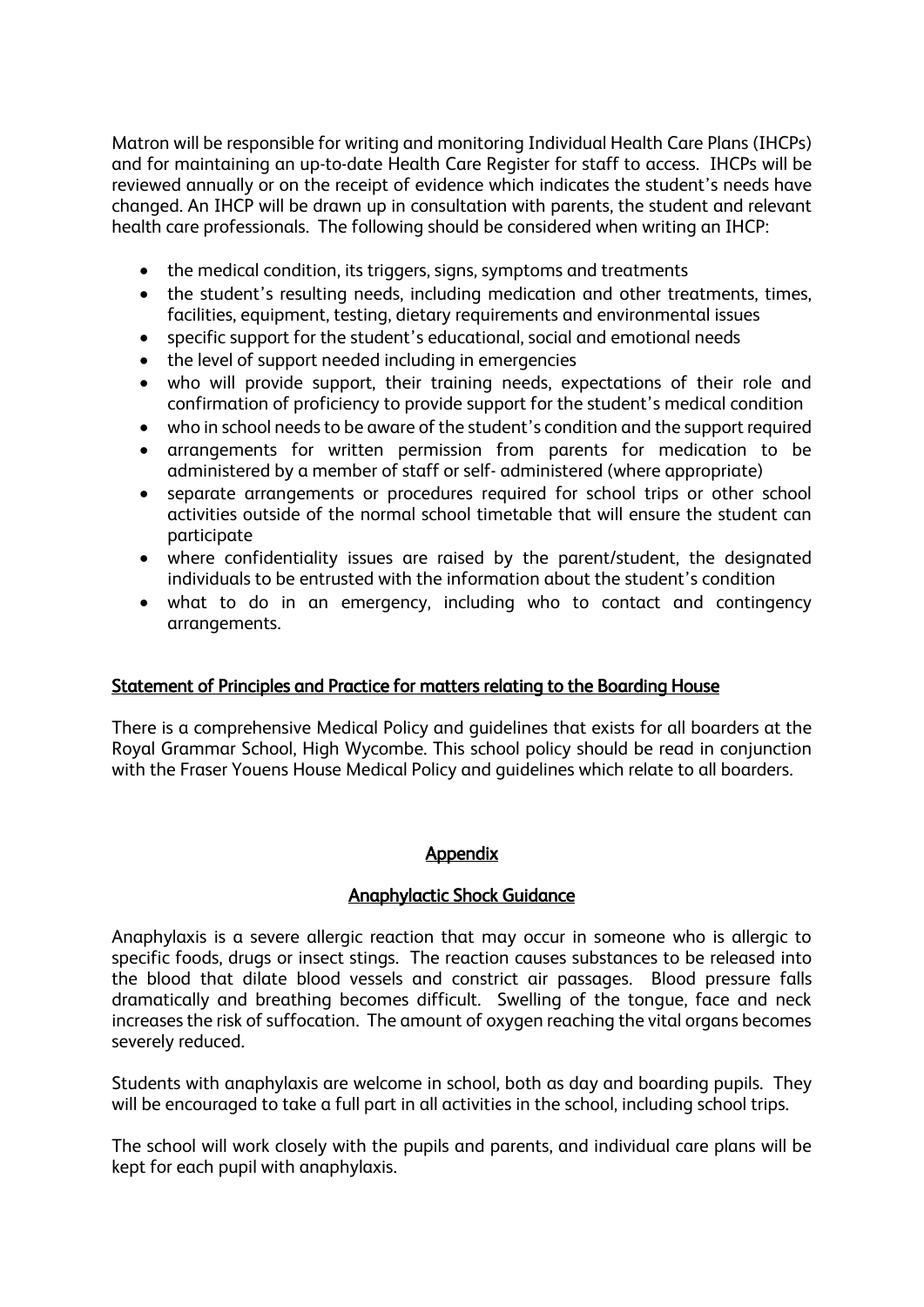Matron will be responsible for writing and monitoring Individual Health Care Plans (IHCPs) and for maintaining an up-to-date Health Care Register for staff to access. IHCPs will be reviewed annually or on the receipt of evidence which indicates the student's needs have changed. An IHCP will be drawn up in consultation with parents, the student and relevant health care professionals. The following should be considered when writing an IHCP:

- the medical condition, its triggers, signs, symptoms and treatments
- the student's resulting needs, including medication and other treatments, times, facilities, equipment, testing, dietary requirements and environmental issues
- specific support for the student's educational, social and emotional needs
- the level of support needed including in emergencies
- who will provide support, their training needs, expectations of their role and confirmation of proficiency to provide support for the student's medical condition
- who in school needs to be aware of the student's condition and the support required
- arrangements for written permission from parents for medication to be administered by a member of staff or self- administered (where appropriate)
- separate arrangements or procedures required for school trips or other school activities outside of the normal school timetable that will ensure the student can participate
- where confidentiality issues are raised by the parent/student, the designated individuals to be entrusted with the information about the student's condition
- what to do in an emergency, including who to contact and contingency arrangements.

## Statement of Principles and Practice for matters relating to the Boarding House

There is a comprehensive Medical Policy and guidelines that exists for all boarders at the Royal Grammar School, High Wycombe. This school policy should be read in conjunction with the Fraser Youens House Medical Policy and guidelines which relate to all boarders.

## Appendix

## Anaphylactic Shock Guidance

Anaphylaxis is a severe allergic reaction that may occur in someone who is allergic to specific foods, drugs or insect stings. The reaction causes substances to be released into the blood that dilate blood vessels and constrict air passages. Blood pressure falls dramatically and breathing becomes difficult. Swelling of the tongue, face and neck increases the risk of suffocation. The amount of oxygen reaching the vital organs becomes severely reduced.

Students with anaphylaxis are welcome in school, both as day and boarding pupils. They will be encouraged to take a full part in all activities in the school, including school trips.

The school will work closely with the pupils and parents, and individual care plans will be kept for each pupil with anaphylaxis.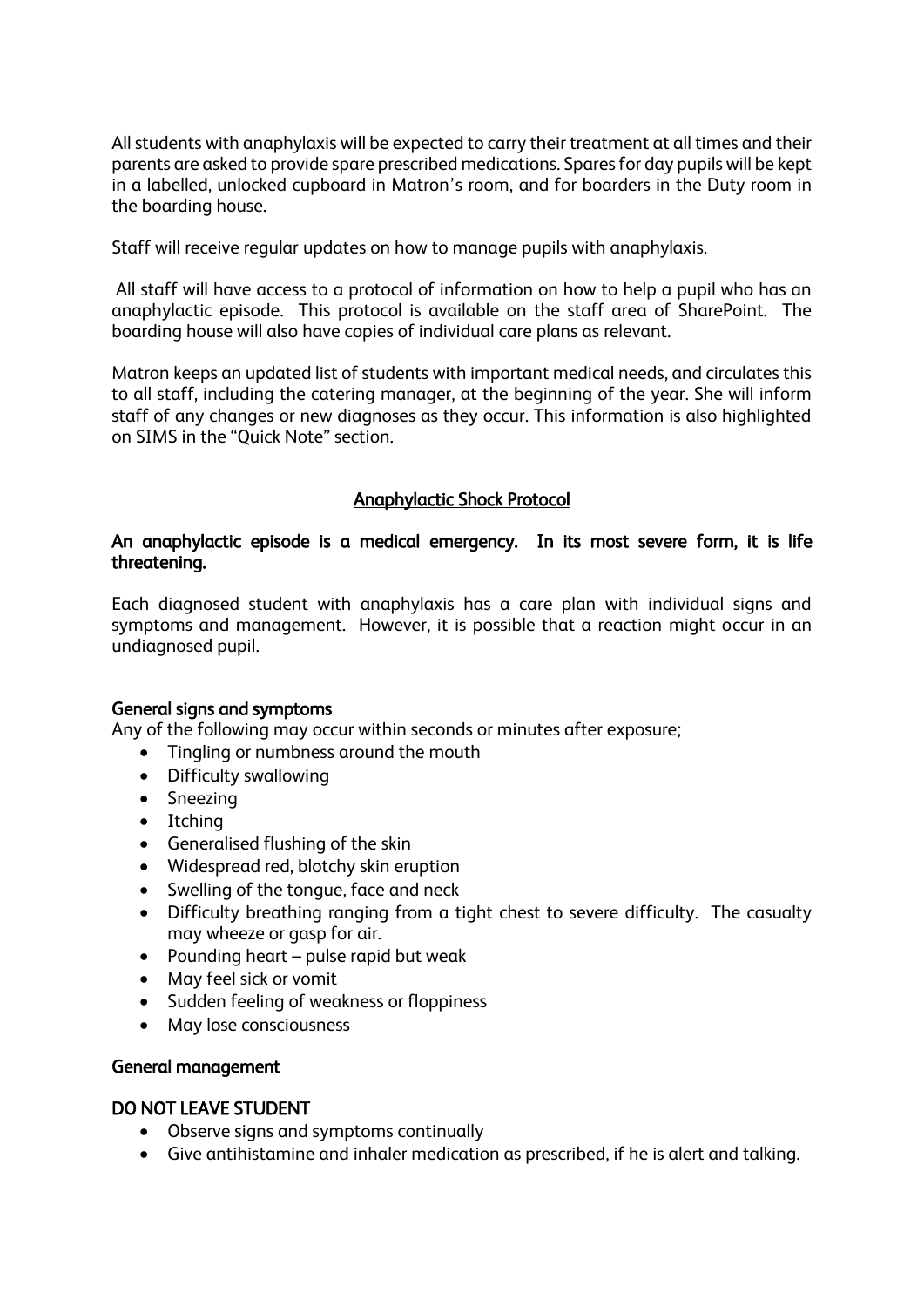All students with anaphylaxis will be expected to carry their treatment at all times and their parents are asked to provide spare prescribed medications. Spares for day pupils will be kept in a labelled, unlocked cupboard in Matron's room, and for boarders in the Duty room in the boarding house.

Staff will receive regular updates on how to manage pupils with anaphylaxis.

All staff will have access to a protocol of information on how to help a pupil who has an anaphylactic episode. This protocol is available on the staff area of SharePoint. The boarding house will also have copies of individual care plans as relevant.

Matron keeps an updated list of students with important medical needs, and circulates this to all staff, including the catering manager, at the beginning of the year. She will inform staff of any changes or new diagnoses as they occur. This information is also highlighted on SIMS in the "Quick Note" section.

## Anaphylactic Shock Protocol

## An anaphylactic episode is a medical emergency. In its most severe form, it is life threatening.

Each diagnosed student with anaphylaxis has a care plan with individual signs and symptoms and management. However, it is possible that a reaction might occur in an undiagnosed pupil.

## General signs and symptoms

Any of the following may occur within seconds or minutes after exposure;

- Tingling or numbness around the mouth
- Difficulty swallowing
- Sneezing
- Itching
- Generalised flushing of the skin
- Widespread red, blotchy skin eruption
- Swelling of the tongue, face and neck
- Difficulty breathing ranging from a tight chest to severe difficulty. The casualty may wheeze or gasp for air.
- Pounding heart pulse rapid but weak
- May feel sick or vomit
- Sudden feeling of weakness or floppiness
- May lose consciousness

## General management

## DO NOT LEAVE STUDENT

- Observe signs and symptoms continually
- Give antihistamine and inhaler medication as prescribed, if he is alert and talking.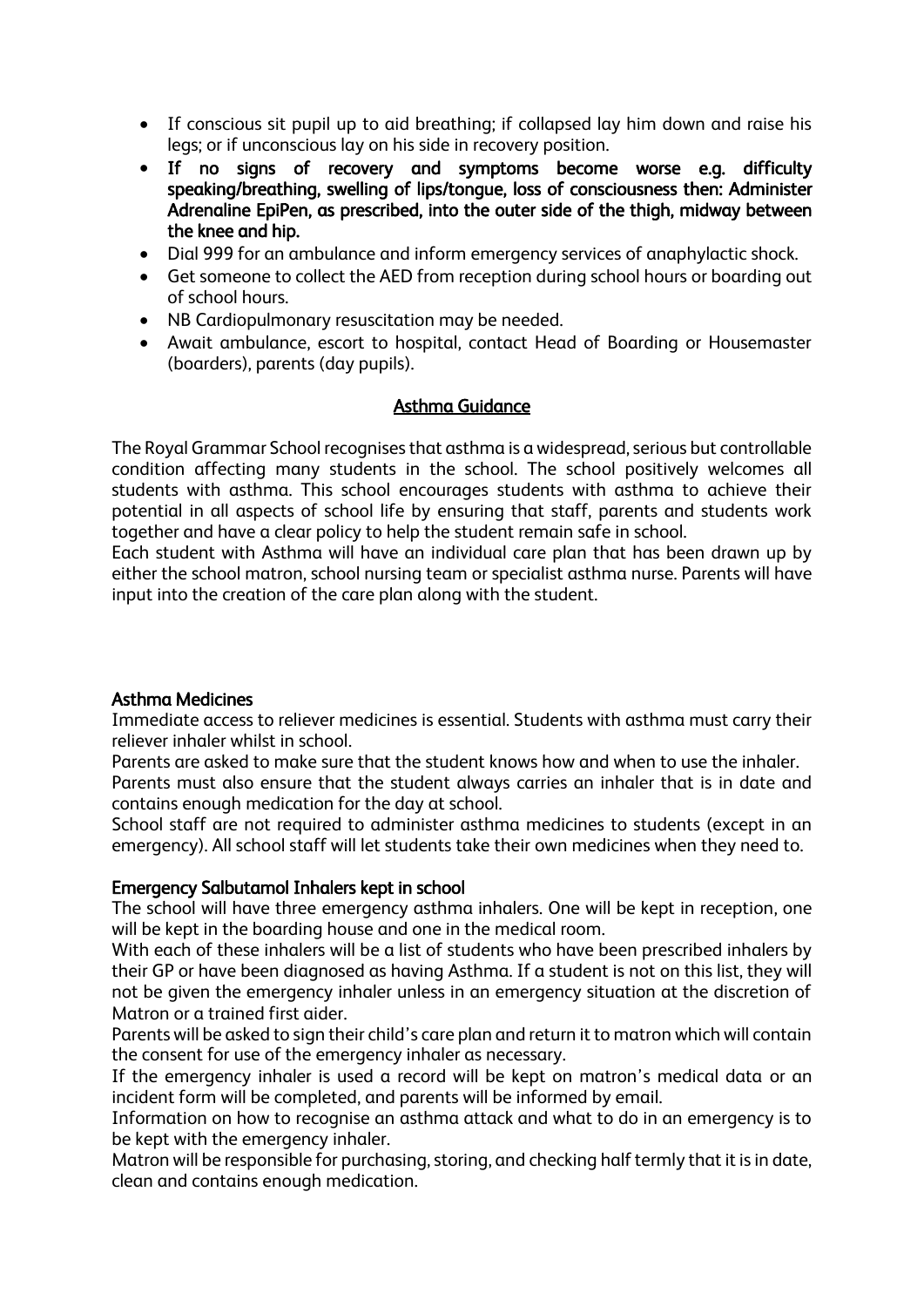- If conscious sit pupil up to aid breathing; if collapsed lay him down and raise his legs; or if unconscious lay on his side in recovery position.
- If no signs of recovery and symptoms become worse e.g. difficulty speaking/breathing, swelling of lips/tongue, loss of consciousness then: Administer Adrenaline EpiPen, as prescribed, into the outer side of the thigh, midway between the knee and hip.
- Dial 999 for an ambulance and inform emergency services of anaphylactic shock.
- Get someone to collect the AED from reception during school hours or boarding out of school hours.
- NB Cardiopulmonary resuscitation may be needed.
- Await ambulance, escort to hospital, contact Head of Boarding or Housemaster (boarders), parents (day pupils).

## Asthma Guidance

The Royal Grammar School recognises that asthma is a widespread, serious but controllable condition affecting many students in the school. The school positively welcomes all students with asthma. This school encourages students with asthma to achieve their potential in all aspects of school life by ensuring that staff, parents and students work together and have a clear policy to help the student remain safe in school.

Each student with Asthma will have an individual care plan that has been drawn up by either the school matron, school nursing team or specialist asthma nurse. Parents will have input into the creation of the care plan along with the student.

## Asthma Medicines

Immediate access to reliever medicines is essential. Students with asthma must carry their reliever inhaler whilst in school.

Parents are asked to make sure that the student knows how and when to use the inhaler. Parents must also ensure that the student always carries an inhaler that is in date and contains enough medication for the day at school.

School staff are not required to administer asthma medicines to students (except in an emergency). All school staff will let students take their own medicines when they need to.

## Emergency Salbutamol Inhalers kept in school

The school will have three emergency asthma inhalers. One will be kept in reception, one will be kept in the boarding house and one in the medical room.

With each of these inhalers will be a list of students who have been prescribed inhalers by their GP or have been diagnosed as having Asthma. If a student is not on this list, they will not be given the emergency inhaler unless in an emergency situation at the discretion of Matron or a trained first aider.

Parents will be asked to sign their child's care plan and return it to matron which will contain the consent for use of the emergency inhaler as necessary.

If the emergency inhaler is used a record will be kept on matron's medical data or an incident form will be completed, and parents will be informed by email.

Information on how to recognise an asthma attack and what to do in an emergency is to be kept with the emergency inhaler.

Matron will be responsible for purchasing, storing, and checking half termly that it is in date, clean and contains enough medication.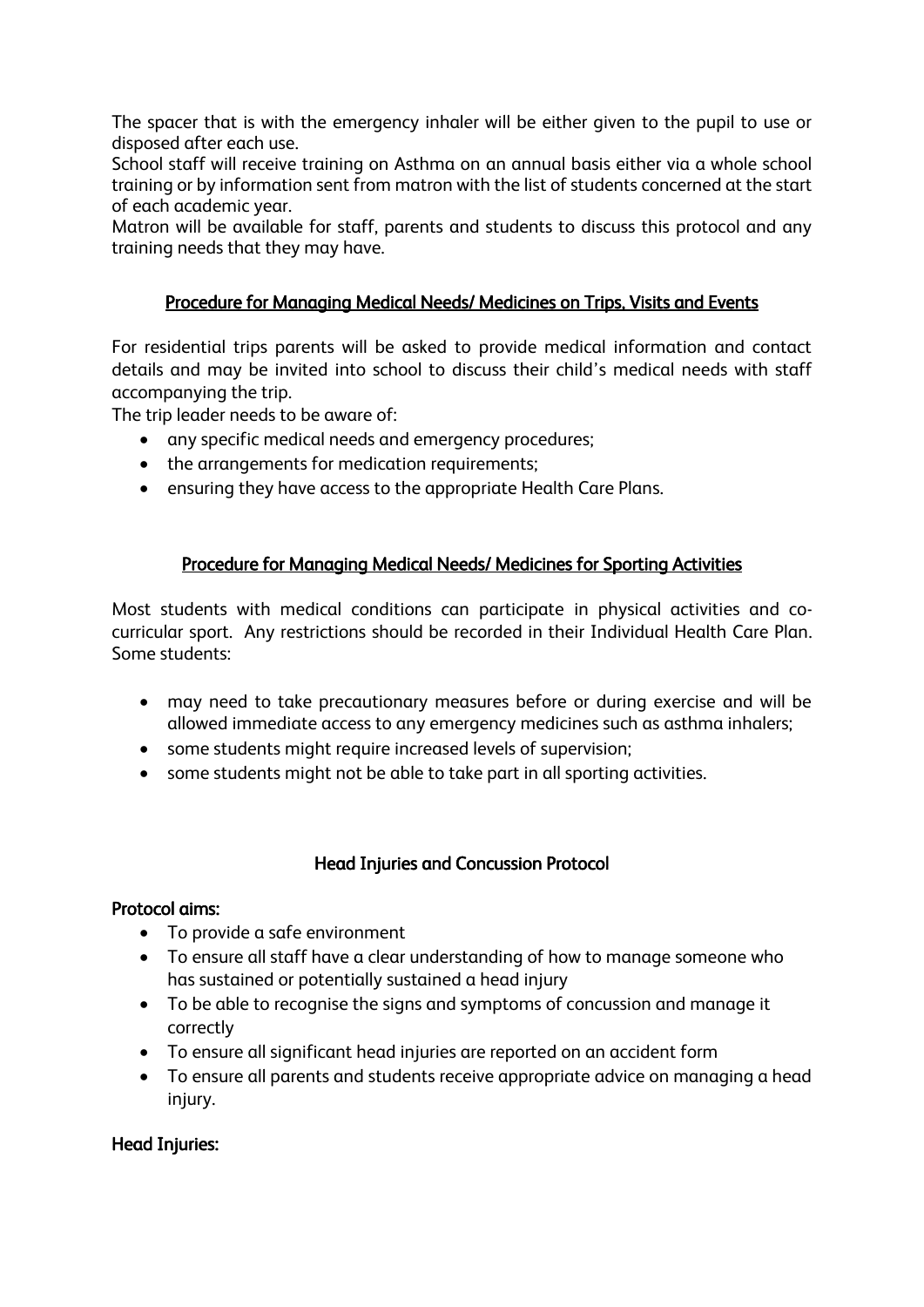The spacer that is with the emergency inhaler will be either given to the pupil to use or disposed after each use.

School staff will receive training on Asthma on an annual basis either via a whole school training or by information sent from matron with the list of students concerned at the start of each academic year.

Matron will be available for staff, parents and students to discuss this protocol and any training needs that they may have.

## Procedure for Managing Medical Needs/ Medicines on Trips, Visits and Events

For residential trips parents will be asked to provide medical information and contact details and may be invited into school to discuss their child's medical needs with staff accompanying the trip.

The trip leader needs to be aware of:

- any specific medical needs and emergency procedures;
- the arrangements for medication requirements;
- ensuring they have access to the appropriate Health Care Plans.

## Procedure for Managing Medical Needs/ Medicines for Sporting Activities

Most students with medical conditions can participate in physical activities and cocurricular sport. Any restrictions should be recorded in their Individual Health Care Plan. Some students:

- may need to take precautionary measures before or during exercise and will be allowed immediate access to any emergency medicines such as asthma inhalers;
- some students might require increased levels of supervision;
- some students might not be able to take part in all sporting activities.

## Head Injuries and Concussion Protocol

## Protocol aims:

- To provide a safe environment
- To ensure all staff have a clear understanding of how to manage someone who has sustained or potentially sustained a head injury
- To be able to recognise the signs and symptoms of concussion and manage it correctly
- To ensure all significant head injuries are reported on an accident form
- To ensure all parents and students receive appropriate advice on managing a head injury.

## Head Injuries: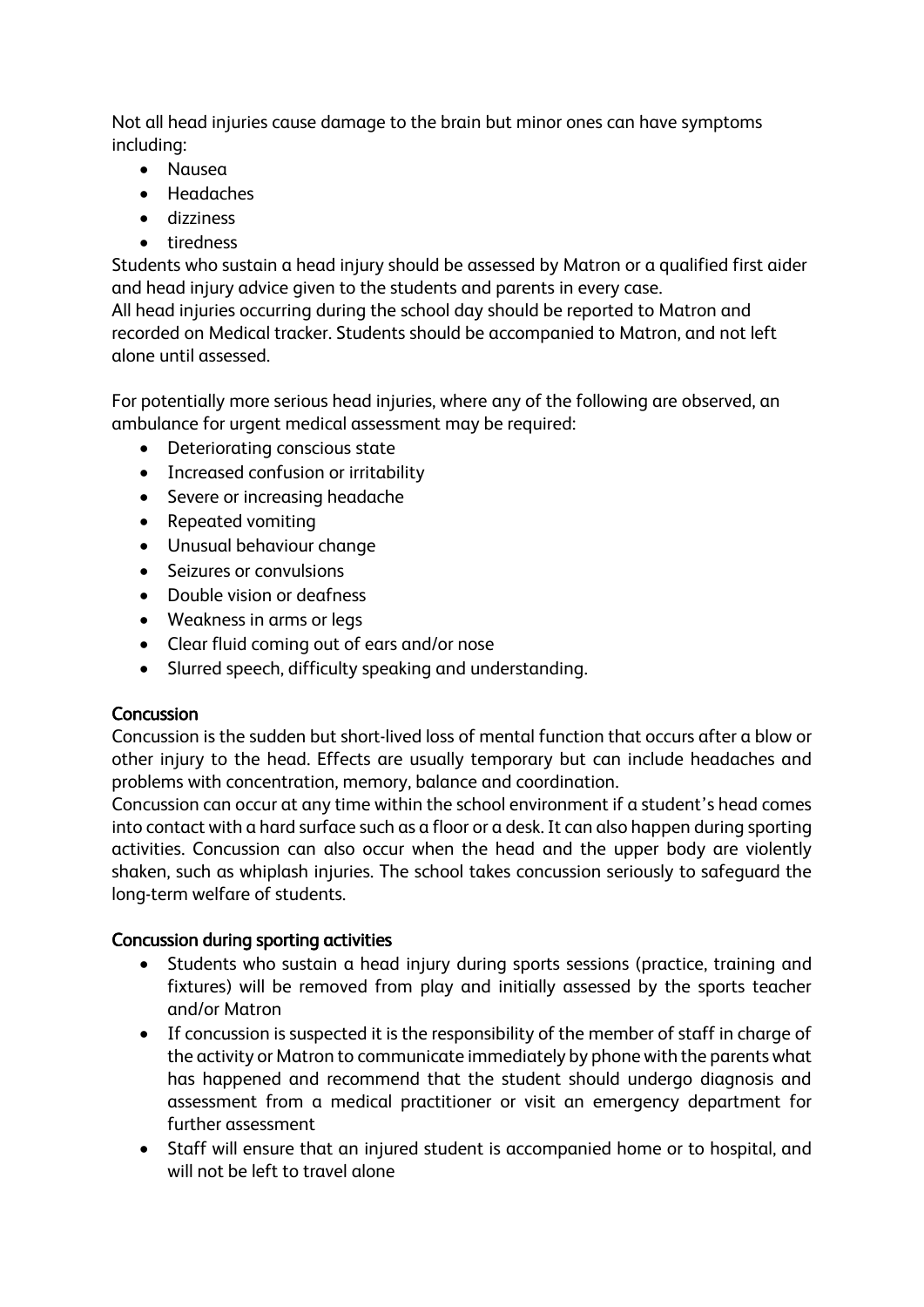Not all head injuries cause damage to the brain but minor ones can have symptoms including:

- Nausea
- Headaches
- dizziness
- tiredness

Students who sustain a head injury should be assessed by Matron or a qualified first aider and head injury advice given to the students and parents in every case.

All head injuries occurring during the school day should be reported to Matron and recorded on Medical tracker. Students should be accompanied to Matron, and not left alone until assessed.

For potentially more serious head injuries, where any of the following are observed, an ambulance for urgent medical assessment may be required:

- Deteriorating conscious state
- Increased confusion or irritability
- Severe or increasing headache
- Repeated vomiting
- Unusual behaviour change
- Seizures or convulsions
- Double vision or deafness
- Weakness in arms or legs
- Clear fluid coming out of ears and/or nose
- Slurred speech, difficulty speaking and understanding.

## **Concussion**

Concussion is the sudden but short-lived loss of mental function that occurs after a blow or other injury to the head. Effects are usually temporary but can include headaches and problems with concentration, memory, balance and coordination.

Concussion can occur at any time within the school environment if a student's head comes into contact with a hard surface such as a floor or a desk. It can also happen during sporting activities. Concussion can also occur when the head and the upper body are violently shaken, such as whiplash injuries. The school takes concussion seriously to safeguard the long-term welfare of students.

## Concussion during sporting activities

- Students who sustain a head injury during sports sessions (practice, training and fixtures) will be removed from play and initially assessed by the sports teacher and/or Matron
- If concussion is suspected it is the responsibility of the member of staff in charge of the activity or Matron to communicate immediately by phone with the parents what has happened and recommend that the student should undergo diagnosis and assessment from a medical practitioner or visit an emergency department for further assessment
- Staff will ensure that an injured student is accompanied home or to hospital, and will not be left to travel alone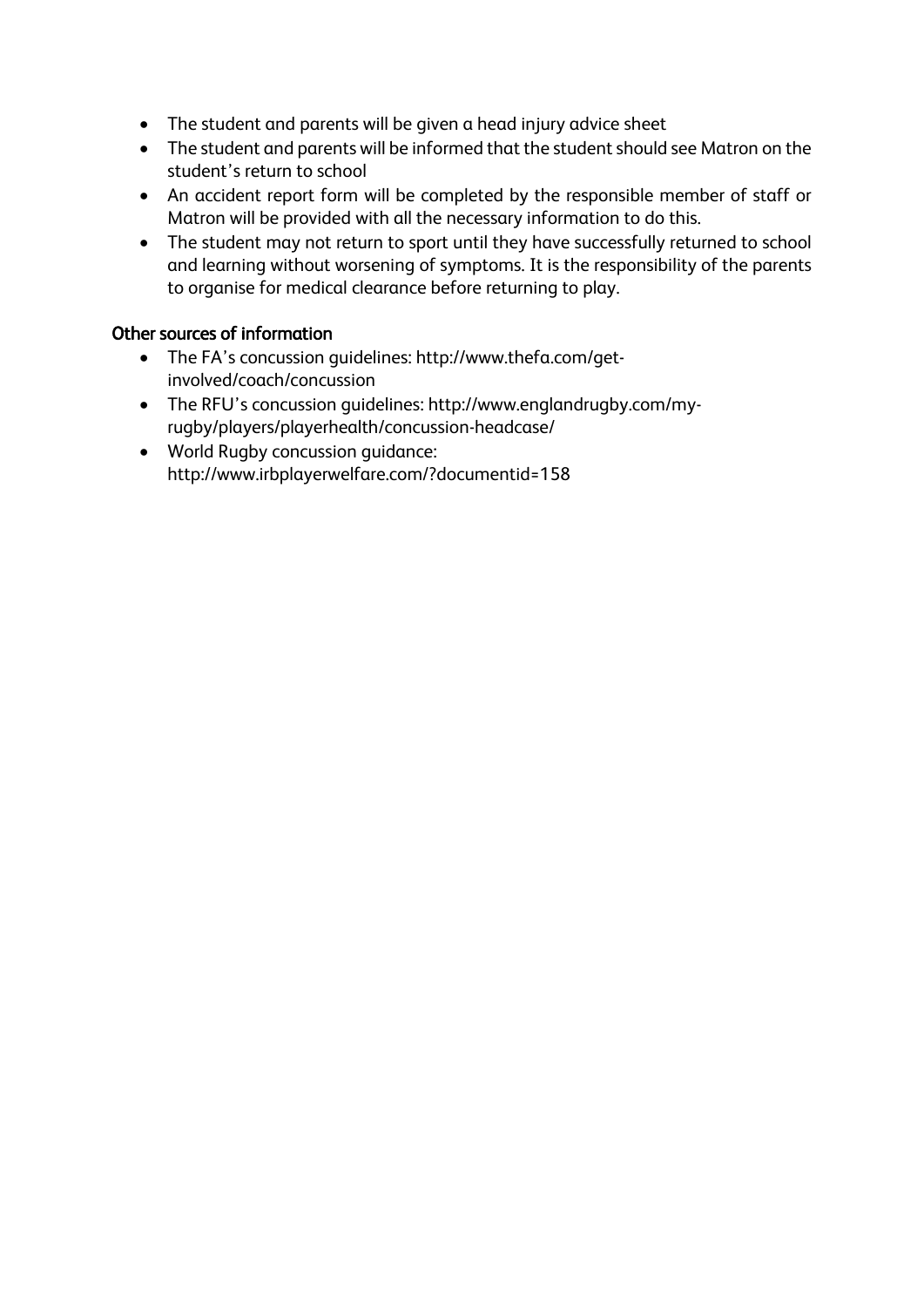- The student and parents will be given a head injury advice sheet
- The student and parents will be informed that the student should see Matron on the student's return to school
- An accident report form will be completed by the responsible member of staff or Matron will be provided with all the necessary information to do this.
- The student may not return to sport until they have successfully returned to school and learning without worsening of symptoms. It is the responsibility of the parents to organise for medical clearance before returning to play.

## Other sources of information

- The FA's concussion guidelines: [http://www.thefa.com/get](http://www.thefa.com/get-involved/coach/concussion)[involved/coach/concussion](http://www.thefa.com/get-involved/coach/concussion)
- The RFU's concussion guidelines: [http://www.englandrugby.com/my](http://www.englandrugby.com/my-rugby/players/playerhealth/concussion-headcase/)[rugby/players/playerhealth/concussion-headcase/](http://www.englandrugby.com/my-rugby/players/playerhealth/concussion-headcase/)
- World Rugby concussion guidance: <http://www.irbplayerwelfare.com/?documentid=158>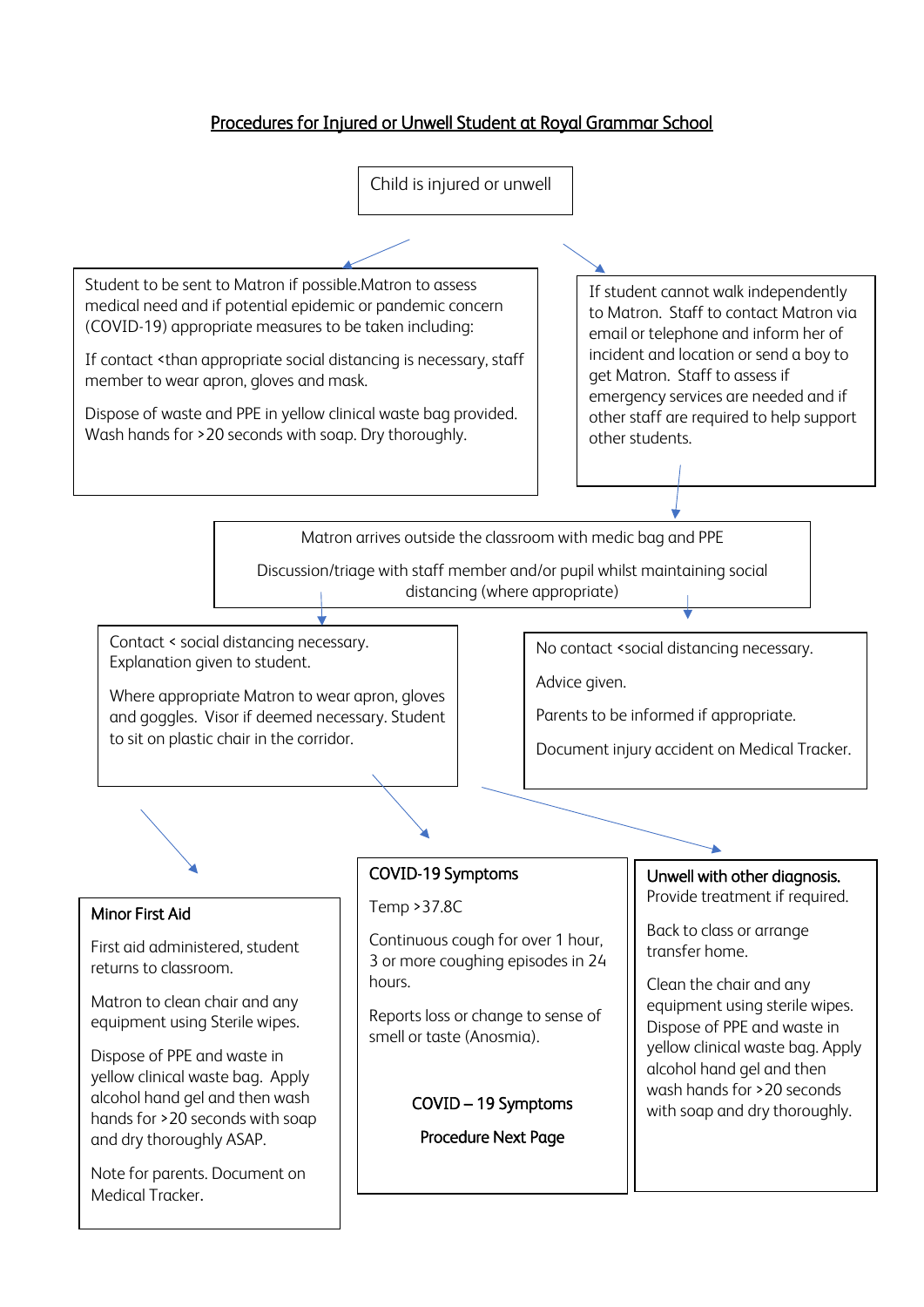## Procedures for Injured or Unwell Student at Royal Grammar School

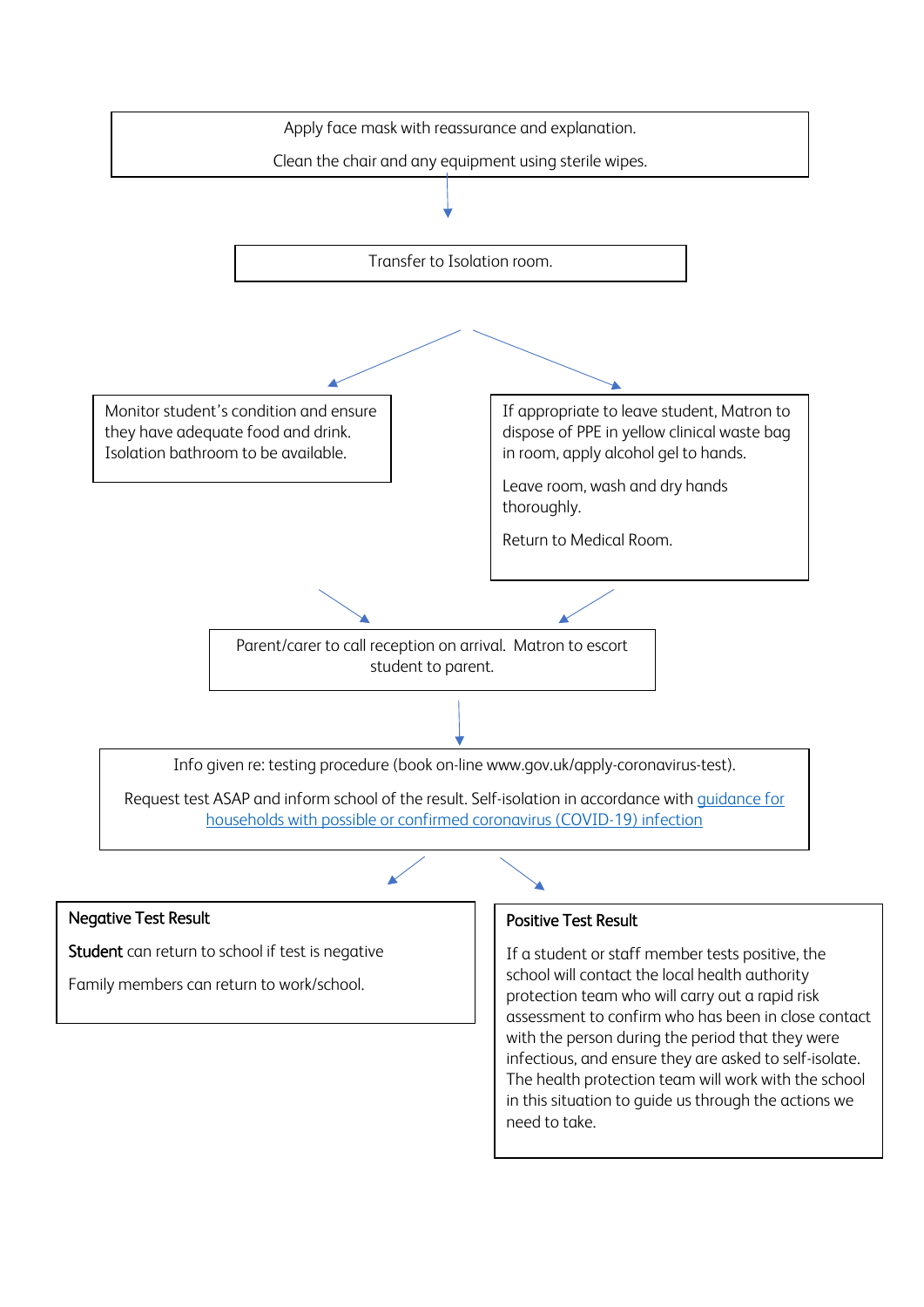

## Negative Test Result

Student can return to school if test is negative

Family members can return to work/school.

## Positive Test Result

If a student or staff member tests positive, the school will contact the local health authority protection team who will carry out a rapid risk assessment to confirm who has been in close contact with the person during the period that they were infectious, and ensure they are asked to self-isolate. The health protection team will work with the school in this situation to guide us through the actions we need to take.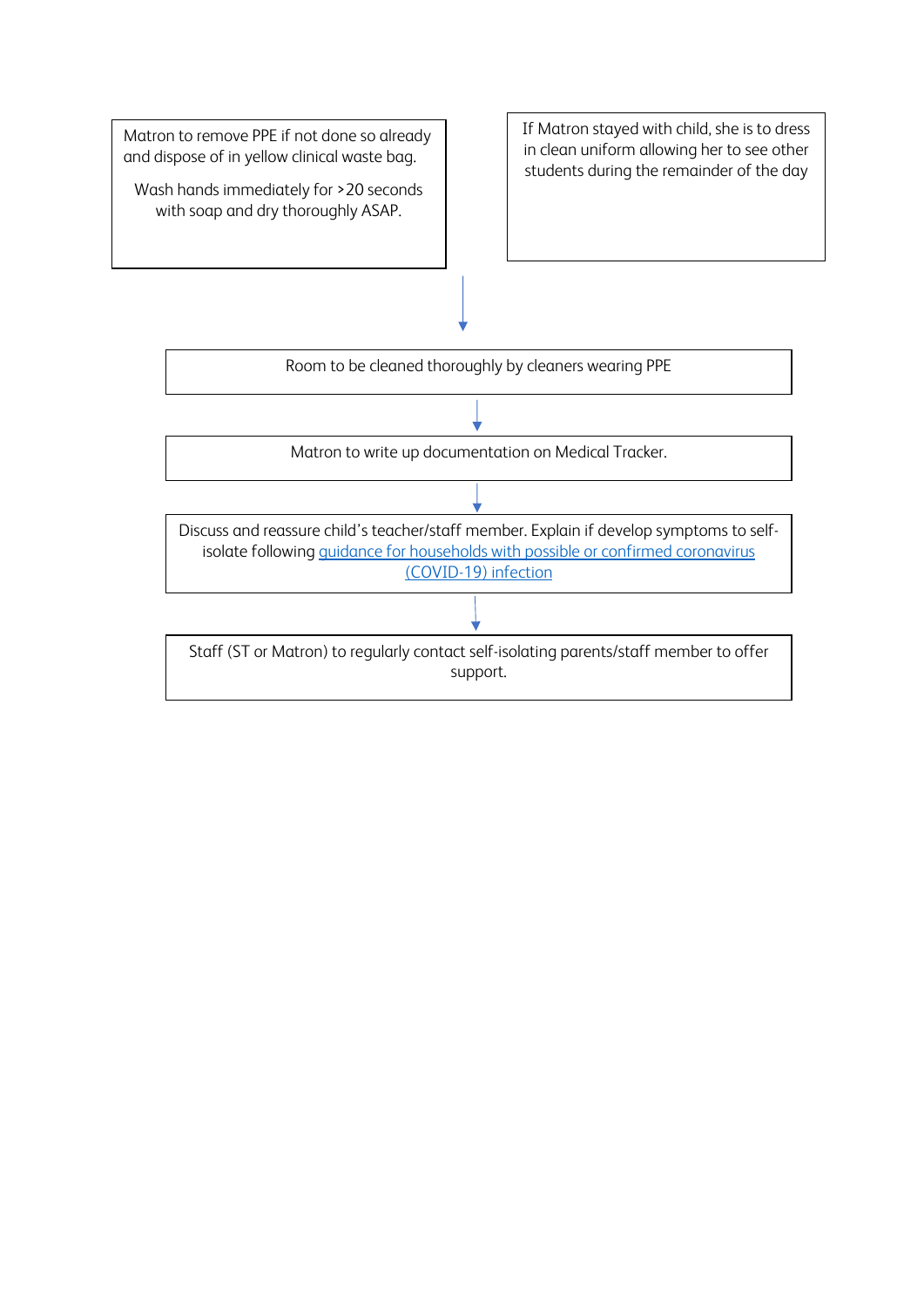